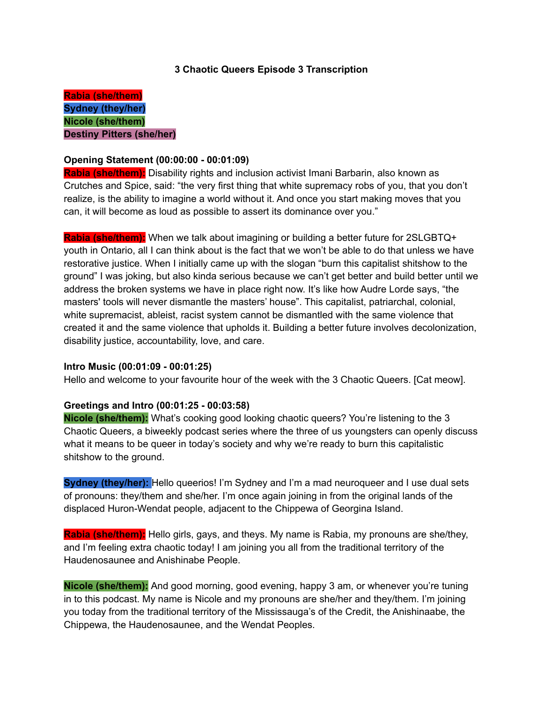## **3 Chaotic Queers Episode 3 Transcription**

**Rabia (she/them) Sydney (they/her) Nicole (she/them) Destiny Pitters (she/her)**

## **Opening Statement (00:00:00 - 00:01:09)**

**Rabia (she/them):** Disability rights and inclusion activist Imani Barbarin, also known as Crutches and Spice, said: "the very first thing that white supremacy robs of you, that you don't realize, is the ability to imagine a world without it. And once you start making moves that you can, it will become as loud as possible to assert its dominance over you."

**Rabia (she/them):** When we talk about imagining or building a better future for 2SLGBTQ+ youth in Ontario, all I can think about is the fact that we won't be able to do that unless we have restorative justice. When I initially came up with the slogan "burn this capitalist shitshow to the ground" I was joking, but also kinda serious because we can't get better and build better until we address the broken systems we have in place right now. It's like how Audre Lorde says, "the masters' tools will never dismantle the masters' house". This capitalist, patriarchal, colonial, white supremacist, ableist, racist system cannot be dismantled with the same violence that created it and the same violence that upholds it. Building a better future involves decolonization, disability justice, accountability, love, and care.

#### **Intro Music (00:01:09 - 00:01:25)**

Hello and welcome to your favourite hour of the week with the 3 Chaotic Queers. [Cat meow].

#### **Greetings and Intro (00:01:25 - 00:03:58)**

**Nicole (she/them):** What's cooking good looking chaotic queers? You're listening to the 3 Chaotic Queers, a biweekly podcast series where the three of us youngsters can openly discuss what it means to be queer in today's society and why we're ready to burn this capitalistic shitshow to the ground.

**Sydney (they/her):** Hello queerios! I'm Sydney and I'm a mad neuroqueer and I use dual sets of pronouns: they/them and she/her. I'm once again joining in from the original lands of the displaced Huron-Wendat people, adjacent to the Chippewa of Georgina Island.

**Rabia (she/them):** Hello girls, gays, and theys. My name is Rabia, my pronouns are she/they, and I'm feeling extra chaotic today! I am joining you all from the traditional territory of the Haudenosaunee and Anishinabe People.

**Nicole (she/them):** And good morning, good evening, happy 3 am, or whenever you're tuning in to this podcast. My name is Nicole and my pronouns are she/her and they/them. I'm joining you today from the traditional territory of the Mississauga's of the Credit, the Anishinaabe, the Chippewa, the Haudenosaunee, and the Wendat Peoples.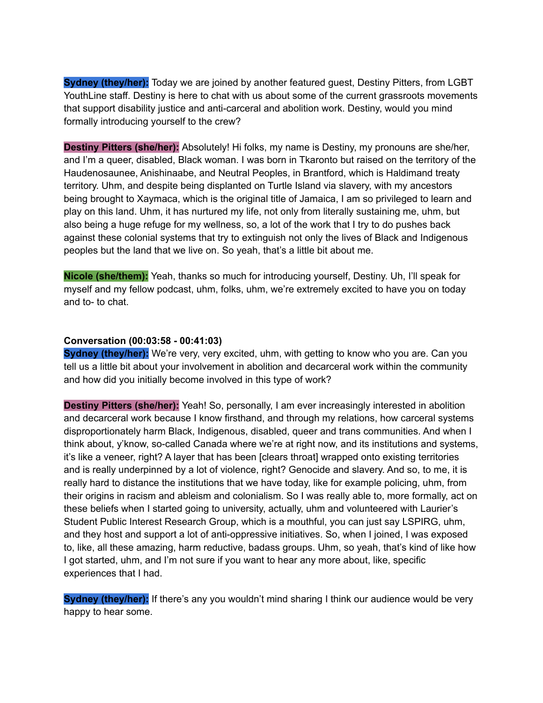**Sydney (they/her):** Today we are joined by another featured guest, Destiny Pitters, from LGBT YouthLine staff. Destiny is here to chat with us about some of the current grassroots movements that support disability justice and anti-carceral and abolition work. Destiny, would you mind formally introducing yourself to the crew?

**Destiny Pitters (she/her):** Absolutely! Hi folks, my name is Destiny, my pronouns are she/her, and I'm a queer, disabled, Black woman. I was born in Tkaronto but raised on the territory of the Haudenosaunee, Anishinaabe, and Neutral Peoples, in Brantford, which is Haldimand treaty territory. Uhm, and despite being displanted on Turtle Island via slavery, with my ancestors being brought to Xaymaca, which is the original title of Jamaica, I am so privileged to learn and play on this land. Uhm, it has nurtured my life, not only from literally sustaining me, uhm, but also being a huge refuge for my wellness, so, a lot of the work that I try to do pushes back against these colonial systems that try to extinguish not only the lives of Black and Indigenous peoples but the land that we live on. So yeah, that's a little bit about me.

**Nicole (she/them):** Yeah, thanks so much for introducing yourself, Destiny. Uh, I'll speak for myself and my fellow podcast, uhm, folks, uhm, we're extremely excited to have you on today and to- to chat.

#### **Conversation (00:03:58 - 00:41:03)**

**Sydney (they/her):** We're very, very excited, uhm, with getting to know who you are. Can you tell us a little bit about your involvement in abolition and decarceral work within the community and how did you initially become involved in this type of work?

**Destiny Pitters (she/her):** Yeah! So, personally, I am ever increasingly interested in abolition and decarceral work because I know firsthand, and through my relations, how carceral systems disproportionately harm Black, Indigenous, disabled, queer and trans communities. And when I think about, y'know, so-called Canada where we're at right now, and its institutions and systems, it's like a veneer, right? A layer that has been [clears throat] wrapped onto existing territories and is really underpinned by a lot of violence, right? Genocide and slavery. And so, to me, it is really hard to distance the institutions that we have today, like for example policing, uhm, from their origins in racism and ableism and colonialism. So I was really able to, more formally, act on these beliefs when I started going to university, actually, uhm and volunteered with Laurier's Student Public Interest Research Group, which is a mouthful, you can just say LSPIRG, uhm, and they host and support a lot of anti-oppressive initiatives. So, when I joined, I was exposed to, like, all these amazing, harm reductive, badass groups. Uhm, so yeah, that's kind of like how I got started, uhm, and I'm not sure if you want to hear any more about, like, specific experiences that I had.

**Sydney (they/her):** If there's any you wouldn't mind sharing I think our audience would be very happy to hear some.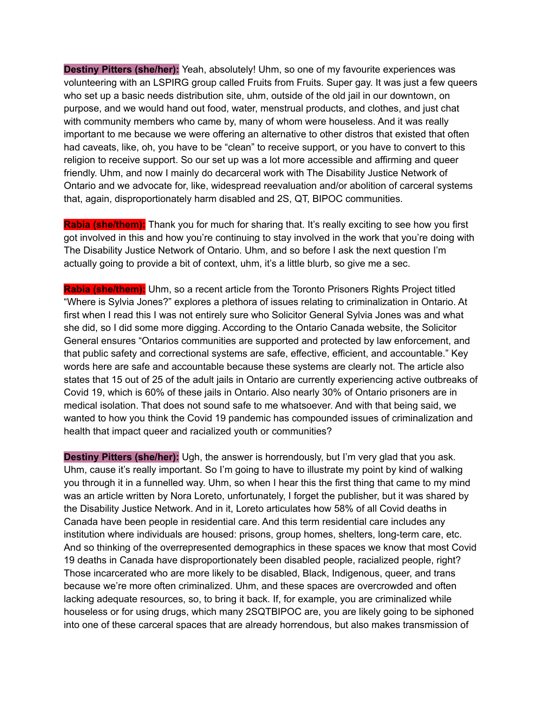**Destiny Pitters (she/her):** Yeah, absolutely! Uhm, so one of my favourite experiences was volunteering with an LSPIRG group called Fruits from Fruits. Super gay. It was just a few queers who set up a basic needs distribution site, uhm, outside of the old jail in our downtown, on purpose, and we would hand out food, water, menstrual products, and clothes, and just chat with community members who came by, many of whom were houseless. And it was really important to me because we were offering an alternative to other distros that existed that often had caveats, like, oh, you have to be "clean" to receive support, or you have to convert to this religion to receive support. So our set up was a lot more accessible and affirming and queer friendly. Uhm, and now I mainly do decarceral work with The Disability Justice Network of Ontario and we advocate for, like, widespread reevaluation and/or abolition of carceral systems that, again, disproportionately harm disabled and 2S, QT, BIPOC communities.

**Rabia (she/them):** Thank you for much for sharing that. It's really exciting to see how you first got involved in this and how you're continuing to stay involved in the work that you're doing with The Disability Justice Network of Ontario. Uhm, and so before I ask the next question I'm actually going to provide a bit of context, uhm, it's a little blurb, so give me a sec.

**Rabia (she/them):** Uhm, so a recent article from the Toronto Prisoners Rights Project titled "Where is Sylvia Jones?" explores a plethora of issues relating to criminalization in Ontario. At first when I read this I was not entirely sure who Solicitor General Sylvia Jones was and what she did, so I did some more digging. According to the Ontario Canada website, the Solicitor General ensures "Ontarios communities are supported and protected by law enforcement, and that public safety and correctional systems are safe, effective, efficient, and accountable." Key words here are safe and accountable because these systems are clearly not. The article also states that 15 out of 25 of the adult jails in Ontario are currently experiencing active outbreaks of Covid 19, which is 60% of these jails in Ontario. Also nearly 30% of Ontario prisoners are in medical isolation. That does not sound safe to me whatsoever. And with that being said, we wanted to how you think the Covid 19 pandemic has compounded issues of criminalization and health that impact queer and racialized youth or communities?

**Destiny Pitters (she/her):** Ugh, the answer is horrendously, but I'm very glad that you ask. Uhm, cause it's really important. So I'm going to have to illustrate my point by kind of walking you through it in a funnelled way. Uhm, so when I hear this the first thing that came to my mind was an article written by Nora Loreto, unfortunately, I forget the publisher, but it was shared by the Disability Justice Network. And in it, Loreto articulates how 58% of all Covid deaths in Canada have been people in residential care. And this term residential care includes any institution where individuals are housed: prisons, group homes, shelters, long-term care, etc. And so thinking of the overrepresented demographics in these spaces we know that most Covid 19 deaths in Canada have disproportionately been disabled people, racialized people, right? Those incarcerated who are more likely to be disabled, Black, Indigenous, queer, and trans because we're more often criminalized. Uhm, and these spaces are overcrowded and often lacking adequate resources, so, to bring it back. If, for example, you are criminalized while houseless or for using drugs, which many 2SQTBIPOC are, you are likely going to be siphoned into one of these carceral spaces that are already horrendous, but also makes transmission of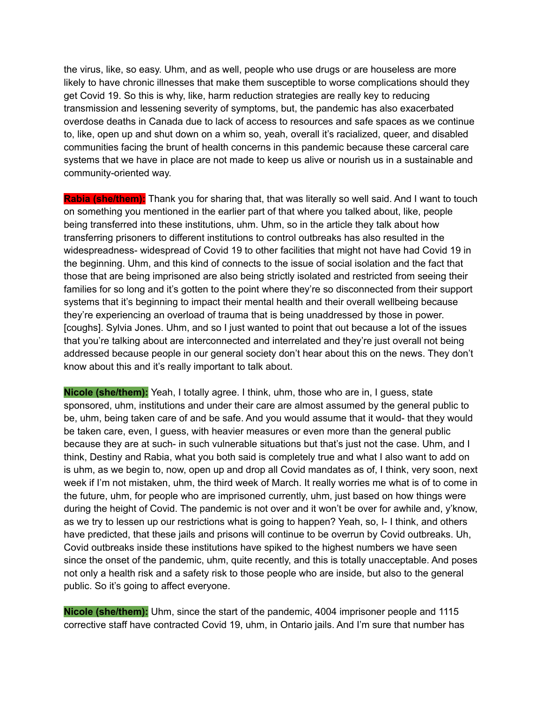the virus, like, so easy. Uhm, and as well, people who use drugs or are houseless are more likely to have chronic illnesses that make them susceptible to worse complications should they get Covid 19. So this is why, like, harm reduction strategies are really key to reducing transmission and lessening severity of symptoms, but, the pandemic has also exacerbated overdose deaths in Canada due to lack of access to resources and safe spaces as we continue to, like, open up and shut down on a whim so, yeah, overall it's racialized, queer, and disabled communities facing the brunt of health concerns in this pandemic because these carceral care systems that we have in place are not made to keep us alive or nourish us in a sustainable and community-oriented way.

**Rabia (she/them):** Thank you for sharing that, that was literally so well said. And I want to touch on something you mentioned in the earlier part of that where you talked about, like, people being transferred into these institutions, uhm. Uhm, so in the article they talk about how transferring prisoners to different institutions to control outbreaks has also resulted in the widespreadness- widespread of Covid 19 to other facilities that might not have had Covid 19 in the beginning. Uhm, and this kind of connects to the issue of social isolation and the fact that those that are being imprisoned are also being strictly isolated and restricted from seeing their families for so long and it's gotten to the point where they're so disconnected from their support systems that it's beginning to impact their mental health and their overall wellbeing because they're experiencing an overload of trauma that is being unaddressed by those in power. [coughs]. Sylvia Jones. Uhm, and so I just wanted to point that out because a lot of the issues that you're talking about are interconnected and interrelated and they're just overall not being addressed because people in our general society don't hear about this on the news. They don't know about this and it's really important to talk about.

**Nicole (she/them):** Yeah, I totally agree. I think, uhm, those who are in, I guess, state sponsored, uhm, institutions and under their care are almost assumed by the general public to be, uhm, being taken care of and be safe. And you would assume that it would- that they would be taken care, even, I guess, with heavier measures or even more than the general public because they are at such- in such vulnerable situations but that's just not the case. Uhm, and I think, Destiny and Rabia, what you both said is completely true and what I also want to add on is uhm, as we begin to, now, open up and drop all Covid mandates as of, I think, very soon, next week if I'm not mistaken, uhm, the third week of March. It really worries me what is of to come in the future, uhm, for people who are imprisoned currently, uhm, just based on how things were during the height of Covid. The pandemic is not over and it won't be over for awhile and, y'know, as we try to lessen up our restrictions what is going to happen? Yeah, so, I- I think, and others have predicted, that these jails and prisons will continue to be overrun by Covid outbreaks. Uh, Covid outbreaks inside these institutions have spiked to the highest numbers we have seen since the onset of the pandemic, uhm, quite recently, and this is totally unacceptable. And poses not only a health risk and a safety risk to those people who are inside, but also to the general public. So it's going to affect everyone.

**Nicole (she/them):** Uhm, since the start of the pandemic, 4004 imprisoner people and 1115 corrective staff have contracted Covid 19, uhm, in Ontario jails. And I'm sure that number has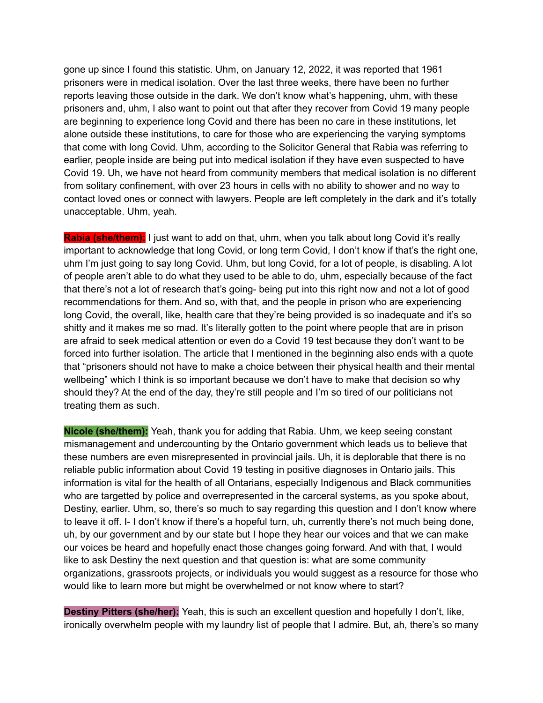gone up since I found this statistic. Uhm, on January 12, 2022, it was reported that 1961 prisoners were in medical isolation. Over the last three weeks, there have been no further reports leaving those outside in the dark. We don't know what's happening, uhm, with these prisoners and, uhm, I also want to point out that after they recover from Covid 19 many people are beginning to experience long Covid and there has been no care in these institutions, let alone outside these institutions, to care for those who are experiencing the varying symptoms that come with long Covid. Uhm, according to the Solicitor General that Rabia was referring to earlier, people inside are being put into medical isolation if they have even suspected to have Covid 19. Uh, we have not heard from community members that medical isolation is no different from solitary confinement, with over 23 hours in cells with no ability to shower and no way to contact loved ones or connect with lawyers. People are left completely in the dark and it's totally unacceptable. Uhm, yeah.

**Rabia (she/them):** I just want to add on that, uhm, when you talk about long Covid it's really important to acknowledge that long Covid, or long term Covid, I don't know if that's the right one, uhm I'm just going to say long Covid. Uhm, but long Covid, for a lot of people, is disabling. A lot of people aren't able to do what they used to be able to do, uhm, especially because of the fact that there's not a lot of research that's going- being put into this right now and not a lot of good recommendations for them. And so, with that, and the people in prison who are experiencing long Covid, the overall, like, health care that they're being provided is so inadequate and it's so shitty and it makes me so mad. It's literally gotten to the point where people that are in prison are afraid to seek medical attention or even do a Covid 19 test because they don't want to be forced into further isolation. The article that I mentioned in the beginning also ends with a quote that "prisoners should not have to make a choice between their physical health and their mental wellbeing" which I think is so important because we don't have to make that decision so why should they? At the end of the day, they're still people and I'm so tired of our politicians not treating them as such.

**Nicole (she/them):** Yeah, thank you for adding that Rabia. Uhm, we keep seeing constant mismanagement and undercounting by the Ontario government which leads us to believe that these numbers are even misrepresented in provincial jails. Uh, it is deplorable that there is no reliable public information about Covid 19 testing in positive diagnoses in Ontario jails. This information is vital for the health of all Ontarians, especially Indigenous and Black communities who are targetted by police and overrepresented in the carceral systems, as you spoke about, Destiny, earlier. Uhm, so, there's so much to say regarding this question and I don't know where to leave it off. I- I don't know if there's a hopeful turn, uh, currently there's not much being done, uh, by our government and by our state but I hope they hear our voices and that we can make our voices be heard and hopefully enact those changes going forward. And with that, I would like to ask Destiny the next question and that question is: what are some community organizations, grassroots projects, or individuals you would suggest as a resource for those who would like to learn more but might be overwhelmed or not know where to start?

**Destiny Pitters (she/her):** Yeah, this is such an excellent question and hopefully I don't, like, ironically overwhelm people with my laundry list of people that I admire. But, ah, there's so many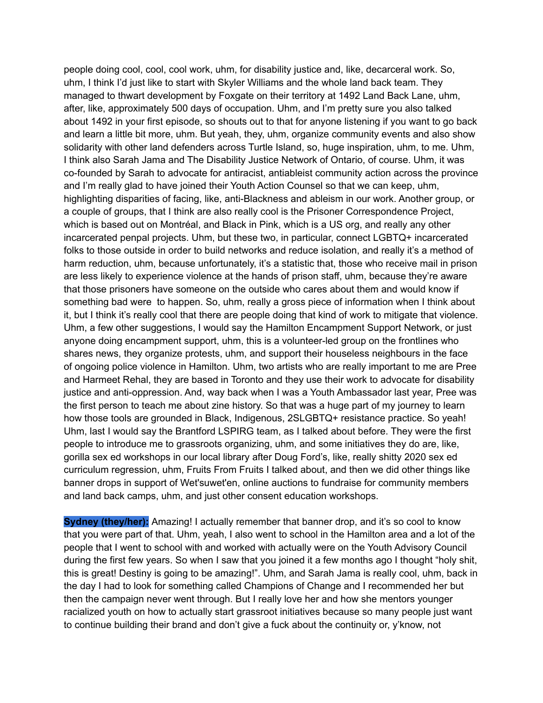people doing cool, cool, cool work, uhm, for disability justice and, like, decarceral work. So, uhm, I think I'd just like to start with Skyler Williams and the whole land back team. They managed to thwart development by Foxgate on their territory at 1492 Land Back Lane, uhm, after, like, approximately 500 days of occupation. Uhm, and I'm pretty sure you also talked about 1492 in your first episode, so shouts out to that for anyone listening if you want to go back and learn a little bit more, uhm. But yeah, they, uhm, organize community events and also show solidarity with other land defenders across Turtle Island, so, huge inspiration, uhm, to me. Uhm, I think also Sarah Jama and The Disability Justice Network of Ontario, of course. Uhm, it was co-founded by Sarah to advocate for antiracist, antiableist community action across the province and I'm really glad to have joined their Youth Action Counsel so that we can keep, uhm, highlighting disparities of facing, like, anti-Blackness and ableism in our work. Another group, or a couple of groups, that I think are also really cool is the Prisoner Correspondence Project, which is based out on Montréal, and Black in Pink, which is a US org, and really any other incarcerated penpal projects. Uhm, but these two, in particular, connect LGBTQ+ incarcerated folks to those outside in order to build networks and reduce isolation, and really it's a method of harm reduction, uhm, because unfortunately, it's a statistic that, those who receive mail in prison are less likely to experience violence at the hands of prison staff, uhm, because they're aware that those prisoners have someone on the outside who cares about them and would know if something bad were to happen. So, uhm, really a gross piece of information when I think about it, but I think it's really cool that there are people doing that kind of work to mitigate that violence. Uhm, a few other suggestions, I would say the Hamilton Encampment Support Network, or just anyone doing encampment support, uhm, this is a volunteer-led group on the frontlines who shares news, they organize protests, uhm, and support their houseless neighbours in the face of ongoing police violence in Hamilton. Uhm, two artists who are really important to me are Pree and Harmeet Rehal, they are based in Toronto and they use their work to advocate for disability justice and anti-oppression. And, way back when I was a Youth Ambassador last year, Pree was the first person to teach me about zine history. So that was a huge part of my journey to learn how those tools are grounded in Black, Indigenous, 2SLGBTQ+ resistance practice. So yeah! Uhm, last I would say the Brantford LSPIRG team, as I talked about before. They were the first people to introduce me to grassroots organizing, uhm, and some initiatives they do are, like, gorilla sex ed workshops in our local library after Doug Ford's, like, really shitty 2020 sex ed curriculum regression, uhm, Fruits From Fruits I talked about, and then we did other things like banner drops in support of Wet'suwet'en, online auctions to fundraise for community members and land back camps, uhm, and just other consent education workshops.

**Sydney (they/her):** Amazing! I actually remember that banner drop, and it's so cool to know that you were part of that. Uhm, yeah, I also went to school in the Hamilton area and a lot of the people that I went to school with and worked with actually were on the Youth Advisory Council during the first few years. So when I saw that you joined it a few months ago I thought "holy shit, this is great! Destiny is going to be amazing!". Uhm, and Sarah Jama is really cool, uhm, back in the day I had to look for something called Champions of Change and I recommended her but then the campaign never went through. But I really love her and how she mentors younger racialized youth on how to actually start grassroot initiatives because so many people just want to continue building their brand and don't give a fuck about the continuity or, y'know, not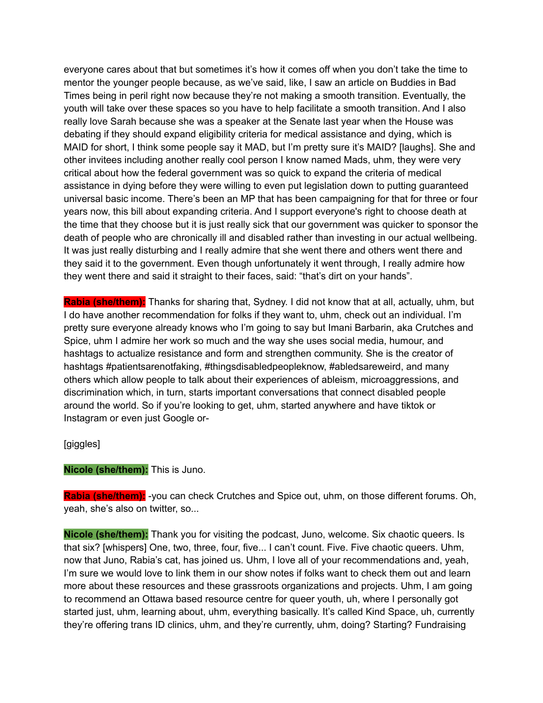everyone cares about that but sometimes it's how it comes off when you don't take the time to mentor the younger people because, as we've said, like, I saw an article on Buddies in Bad Times being in peril right now because they're not making a smooth transition. Eventually, the youth will take over these spaces so you have to help facilitate a smooth transition. And I also really love Sarah because she was a speaker at the Senate last year when the House was debating if they should expand eligibility criteria for medical assistance and dying, which is MAID for short, I think some people say it MAD, but I'm pretty sure it's MAID? [laughs]. She and other invitees including another really cool person I know named Mads, uhm, they were very critical about how the federal government was so quick to expand the criteria of medical assistance in dying before they were willing to even put legislation down to putting guaranteed universal basic income. There's been an MP that has been campaigning for that for three or four years now, this bill about expanding criteria. And I support everyone's right to choose death at the time that they choose but it is just really sick that our government was quicker to sponsor the death of people who are chronically ill and disabled rather than investing in our actual wellbeing. It was just really disturbing and I really admire that she went there and others went there and they said it to the government. Even though unfortunately it went through, I really admire how they went there and said it straight to their faces, said: "that's dirt on your hands".

**Rabia (she/them):** Thanks for sharing that, Sydney. I did not know that at all, actually, uhm, but I do have another recommendation for folks if they want to, uhm, check out an individual. I'm pretty sure everyone already knows who I'm going to say but Imani Barbarin, aka Crutches and Spice, uhm I admire her work so much and the way she uses social media, humour, and hashtags to actualize resistance and form and strengthen community. She is the creator of hashtags #patientsarenotfaking, #thingsdisabledpeopleknow, #abledsareweird, and many others which allow people to talk about their experiences of ableism, microaggressions, and discrimination which, in turn, starts important conversations that connect disabled people around the world. So if you're looking to get, uhm, started anywhere and have tiktok or Instagram or even just Google or-

[giggles]

#### **Nicole (she/them):** This is Juno.

**Rabia (she/them):** -you can check Crutches and Spice out, uhm, on those different forums. Oh, yeah, she's also on twitter, so...

**Nicole (she/them):** Thank you for visiting the podcast, Juno, welcome. Six chaotic queers. Is that six? [whispers] One, two, three, four, five... I can't count. Five. Five chaotic queers. Uhm, now that Juno, Rabia's cat, has joined us. Uhm, I love all of your recommendations and, yeah, I'm sure we would love to link them in our show notes if folks want to check them out and learn more about these resources and these grassroots organizations and projects. Uhm, I am going to recommend an Ottawa based resource centre for queer youth, uh, where I personally got started just, uhm, learning about, uhm, everything basically. It's called Kind Space, uh, currently they're offering trans ID clinics, uhm, and they're currently, uhm, doing? Starting? Fundraising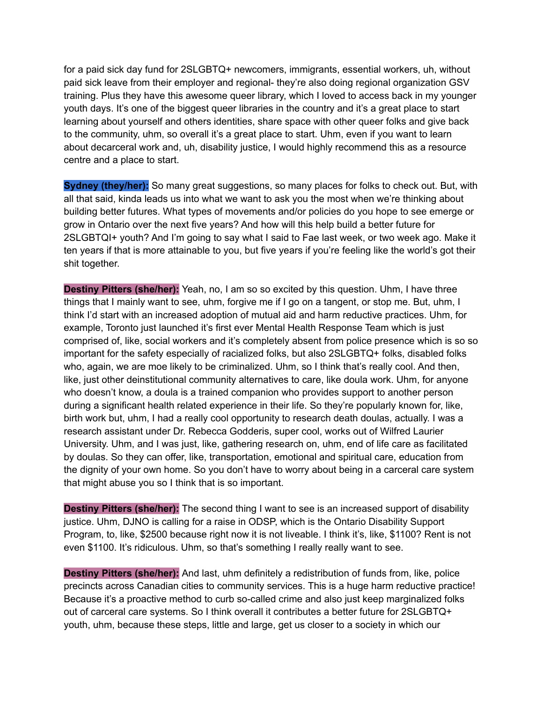for a paid sick day fund for 2SLGBTQ+ newcomers, immigrants, essential workers, uh, without paid sick leave from their employer and regional- they're also doing regional organization GSV training. Plus they have this awesome queer library, which I loved to access back in my younger youth days. It's one of the biggest queer libraries in the country and it's a great place to start learning about yourself and others identities, share space with other queer folks and give back to the community, uhm, so overall it's a great place to start. Uhm, even if you want to learn about decarceral work and, uh, disability justice, I would highly recommend this as a resource centre and a place to start.

**Sydney (they/her):** So many great suggestions, so many places for folks to check out. But, with all that said, kinda leads us into what we want to ask you the most when we're thinking about building better futures. What types of movements and/or policies do you hope to see emerge or grow in Ontario over the next five years? And how will this help build a better future for 2SLGBTQI+ youth? And I'm going to say what I said to Fae last week, or two week ago. Make it ten years if that is more attainable to you, but five years if you're feeling like the world's got their shit together.

**Destiny Pitters (she/her):** Yeah, no, I am so so excited by this question. Uhm, I have three things that I mainly want to see, uhm, forgive me if I go on a tangent, or stop me. But, uhm, I think I'd start with an increased adoption of mutual aid and harm reductive practices. Uhm, for example, Toronto just launched it's first ever Mental Health Response Team which is just comprised of, like, social workers and it's completely absent from police presence which is so so important for the safety especially of racialized folks, but also 2SLGBTQ+ folks, disabled folks who, again, we are moe likely to be criminalized. Uhm, so I think that's really cool. And then, like, just other deinstitutional community alternatives to care, like doula work. Uhm, for anyone who doesn't know, a doula is a trained companion who provides support to another person during a significant health related experience in their life. So they're popularly known for, like, birth work but, uhm, I had a really cool opportunity to research death doulas, actually. I was a research assistant under Dr. Rebecca Godderis, super cool, works out of Wilfred Laurier University. Uhm, and I was just, like, gathering research on, uhm, end of life care as facilitated by doulas. So they can offer, like, transportation, emotional and spiritual care, education from the dignity of your own home. So you don't have to worry about being in a carceral care system that might abuse you so I think that is so important.

**Destiny Pitters (she/her):** The second thing I want to see is an increased support of disability justice. Uhm, DJNO is calling for a raise in ODSP, which is the Ontario Disability Support Program, to, like, \$2500 because right now it is not liveable. I think it's, like, \$1100? Rent is not even \$1100. It's ridiculous. Uhm, so that's something I really really want to see.

**Destiny Pitters (she/her):** And last, uhm definitely a redistribution of funds from, like, police precincts across Canadian cities to community services. This is a huge harm reductive practice! Because it's a proactive method to curb so-called crime and also just keep marginalized folks out of carceral care systems. So I think overall it contributes a better future for 2SLGBTQ+ youth, uhm, because these steps, little and large, get us closer to a society in which our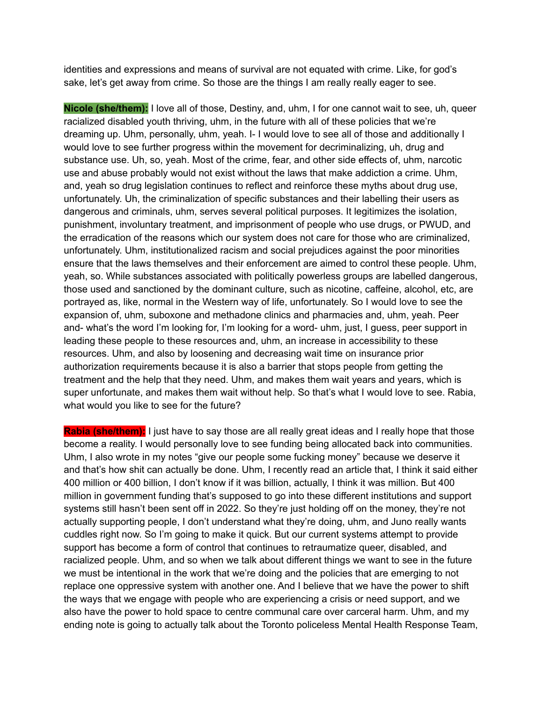identities and expressions and means of survival are not equated with crime. Like, for god's sake, let's get away from crime. So those are the things I am really really eager to see.

**Nicole (she/them):** I love all of those, Destiny, and, uhm, I for one cannot wait to see, uh, queer racialized disabled youth thriving, uhm, in the future with all of these policies that we're dreaming up. Uhm, personally, uhm, yeah. I- I would love to see all of those and additionally I would love to see further progress within the movement for decriminalizing, uh, drug and substance use. Uh, so, yeah. Most of the crime, fear, and other side effects of, uhm, narcotic use and abuse probably would not exist without the laws that make addiction a crime. Uhm, and, yeah so drug legislation continues to reflect and reinforce these myths about drug use, unfortunately. Uh, the criminalization of specific substances and their labelling their users as dangerous and criminals, uhm, serves several political purposes. It legitimizes the isolation, punishment, involuntary treatment, and imprisonment of people who use drugs, or PWUD, and the erradication of the reasons which our system does not care for those who are criminalized, unfortunately. Uhm, institutionalized racism and social prejudices against the poor minorities ensure that the laws themselves and their enforcement are aimed to control these people. Uhm, yeah, so. While substances associated with politically powerless groups are labelled dangerous, those used and sanctioned by the dominant culture, such as nicotine, caffeine, alcohol, etc, are portrayed as, like, normal in the Western way of life, unfortunately. So I would love to see the expansion of, uhm, suboxone and methadone clinics and pharmacies and, uhm, yeah. Peer and- what's the word I'm looking for, I'm looking for a word- uhm, just, I guess, peer support in leading these people to these resources and, uhm, an increase in accessibility to these resources. Uhm, and also by loosening and decreasing wait time on insurance prior authorization requirements because it is also a barrier that stops people from getting the treatment and the help that they need. Uhm, and makes them wait years and years, which is super unfortunate, and makes them wait without help. So that's what I would love to see. Rabia, what would you like to see for the future?

**Rabia (she/them):** I just have to say those are all really great ideas and I really hope that those become a reality. I would personally love to see funding being allocated back into communities. Uhm, I also wrote in my notes "give our people some fucking money" because we deserve it and that's how shit can actually be done. Uhm, I recently read an article that, I think it said either 400 million or 400 billion, I don't know if it was billion, actually, I think it was million. But 400 million in government funding that's supposed to go into these different institutions and support systems still hasn't been sent off in 2022. So they're just holding off on the money, they're not actually supporting people, I don't understand what they're doing, uhm, and Juno really wants cuddles right now. So I'm going to make it quick. But our current systems attempt to provide support has become a form of control that continues to retraumatize queer, disabled, and racialized people. Uhm, and so when we talk about different things we want to see in the future we must be intentional in the work that we're doing and the policies that are emerging to not replace one oppressive system with another one. And I believe that we have the power to shift the ways that we engage with people who are experiencing a crisis or need support, and we also have the power to hold space to centre communal care over carceral harm. Uhm, and my ending note is going to actually talk about the Toronto policeless Mental Health Response Team,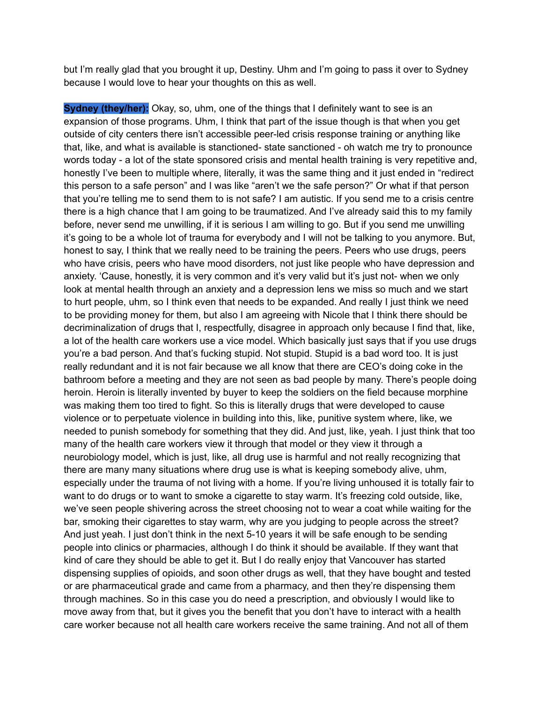but I'm really glad that you brought it up, Destiny. Uhm and I'm going to pass it over to Sydney because I would love to hear your thoughts on this as well.

**Sydney (they/her):** Okay, so, uhm, one of the things that I definitely want to see is an expansion of those programs. Uhm, I think that part of the issue though is that when you get outside of city centers there isn't accessible peer-led crisis response training or anything like that, like, and what is available is stanctioned- state sanctioned - oh watch me try to pronounce words today - a lot of the state sponsored crisis and mental health training is very repetitive and, honestly I've been to multiple where, literally, it was the same thing and it just ended in "redirect this person to a safe person" and I was like "aren't we the safe person?" Or what if that person that you're telling me to send them to is not safe? I am autistic. If you send me to a crisis centre there is a high chance that I am going to be traumatized. And I've already said this to my family before, never send me unwilling, if it is serious I am willing to go. But if you send me unwilling it's going to be a whole lot of trauma for everybody and I will not be talking to you anymore. But, honest to say, I think that we really need to be training the peers. Peers who use drugs, peers who have crisis, peers who have mood disorders, not just like people who have depression and anxiety. 'Cause, honestly, it is very common and it's very valid but it's just not- when we only look at mental health through an anxiety and a depression lens we miss so much and we start to hurt people, uhm, so I think even that needs to be expanded. And really I just think we need to be providing money for them, but also I am agreeing with Nicole that I think there should be decriminalization of drugs that I, respectfully, disagree in approach only because I find that, like, a lot of the health care workers use a vice model. Which basically just says that if you use drugs you're a bad person. And that's fucking stupid. Not stupid. Stupid is a bad word too. It is just really redundant and it is not fair because we all know that there are CEO's doing coke in the bathroom before a meeting and they are not seen as bad people by many. There's people doing heroin. Heroin is literally invented by buyer to keep the soldiers on the field because morphine was making them too tired to fight. So this is literally drugs that were developed to cause violence or to perpetuate violence in building into this, like, punitive system where, like, we needed to punish somebody for something that they did. And just, like, yeah. I just think that too many of the health care workers view it through that model or they view it through a neurobiology model, which is just, like, all drug use is harmful and not really recognizing that there are many many situations where drug use is what is keeping somebody alive, uhm, especially under the trauma of not living with a home. If you're living unhoused it is totally fair to want to do drugs or to want to smoke a cigarette to stay warm. It's freezing cold outside, like, we've seen people shivering across the street choosing not to wear a coat while waiting for the bar, smoking their cigarettes to stay warm, why are you judging to people across the street? And just yeah. I just don't think in the next 5-10 years it will be safe enough to be sending people into clinics or pharmacies, although I do think it should be available. If they want that kind of care they should be able to get it. But I do really enjoy that Vancouver has started dispensing supplies of opioids, and soon other drugs as well, that they have bought and tested or are pharmaceutical grade and came from a pharmacy, and then they're dispensing them through machines. So in this case you do need a prescription, and obviously I would like to move away from that, but it gives you the benefit that you don't have to interact with a health care worker because not all health care workers receive the same training. And not all of them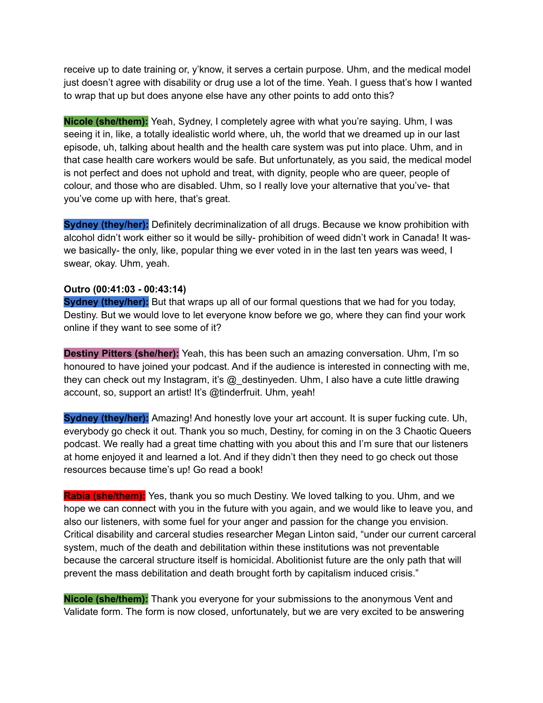receive up to date training or, y'know, it serves a certain purpose. Uhm, and the medical model just doesn't agree with disability or drug use a lot of the time. Yeah. I guess that's how I wanted to wrap that up but does anyone else have any other points to add onto this?

**Nicole (she/them):** Yeah, Sydney, I completely agree with what you're saying. Uhm, I was seeing it in, like, a totally idealistic world where, uh, the world that we dreamed up in our last episode, uh, talking about health and the health care system was put into place. Uhm, and in that case health care workers would be safe. But unfortunately, as you said, the medical model is not perfect and does not uphold and treat, with dignity, people who are queer, people of colour, and those who are disabled. Uhm, so I really love your alternative that you've- that you've come up with here, that's great.

**Sydney (they/her):** Definitely decriminalization of all drugs. Because we know prohibition with alcohol didn't work either so it would be silly- prohibition of weed didn't work in Canada! It waswe basically- the only, like, popular thing we ever voted in in the last ten years was weed, I swear, okay. Uhm, yeah.

# **Outro (00:41:03 - 00:43:14)**

**Sydney (they/her):** But that wraps up all of our formal questions that we had for you today, Destiny. But we would love to let everyone know before we go, where they can find your work online if they want to see some of it?

**Destiny Pitters (she/her):** Yeah, this has been such an amazing conversation. Uhm, I'm so honoured to have joined your podcast. And if the audience is interested in connecting with me, they can check out my Instagram, it's @\_destinyeden. Uhm, I also have a cute little drawing account, so, support an artist! It's @tinderfruit. Uhm, yeah!

**Sydney (they/her):** Amazing! And honestly love your art account. It is super fucking cute. Uh, everybody go check it out. Thank you so much, Destiny, for coming in on the 3 Chaotic Queers podcast. We really had a great time chatting with you about this and I'm sure that our listeners at home enjoyed it and learned a lot. And if they didn't then they need to go check out those resources because time's up! Go read a book!

**Rabia (she/them):** Yes, thank you so much Destiny. We loved talking to you. Uhm, and we hope we can connect with you in the future with you again, and we would like to leave you, and also our listeners, with some fuel for your anger and passion for the change you envision. Critical disability and carceral studies researcher Megan Linton said, "under our current carceral system, much of the death and debilitation within these institutions was not preventable because the carceral structure itself is homicidal. Abolitionist future are the only path that will prevent the mass debilitation and death brought forth by capitalism induced crisis."

**Nicole (she/them):** Thank you everyone for your submissions to the anonymous Vent and Validate form. The form is now closed, unfortunately, but we are very excited to be answering